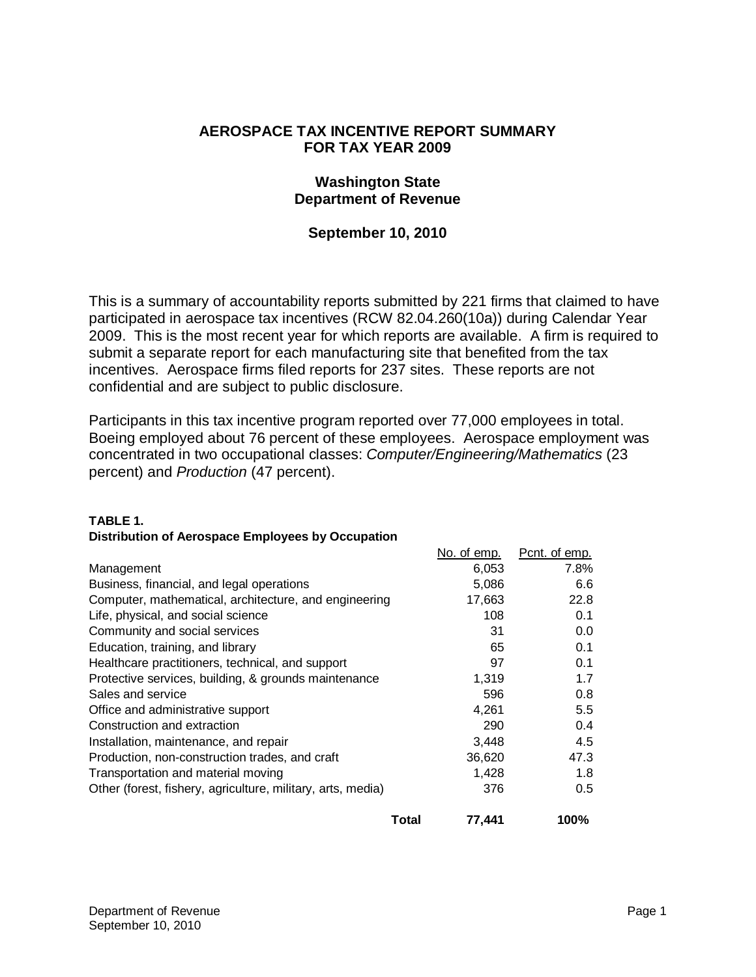## **AEROSPACE TAX INCENTIVE REPORT SUMMARY FOR TAX YEAR 2009**

## **Washington State Department of Revenue**

# **September 10, 2010**

This is a summary of accountability reports submitted by 221 firms that claimed to have participated in aerospace tax incentives (RCW 82.04.260(10a)) during Calendar Year 2009. This is the most recent year for which reports are available. A firm is required to submit a separate report for each manufacturing site that benefited from the tax incentives. Aerospace firms filed reports for 237 sites. These reports are not confidential and are subject to public disclosure.

Participants in this tax incentive program reported over 77,000 employees in total. Boeing employed about 76 percent of these employees. Aerospace employment was concentrated in two occupational classes: *Computer/Engineering/Mathematics* (23 percent) and *Production* (47 percent).

### **TABLE 1.**

|                                                             | No. of emp. | Pcnt. of emp. |
|-------------------------------------------------------------|-------------|---------------|
| Management                                                  | 6,053       | 7.8%          |
| Business, financial, and legal operations                   | 5,086       | 6.6           |
| Computer, mathematical, architecture, and engineering       | 17,663      | 22.8          |
| Life, physical, and social science                          | 108         | 0.1           |
| Community and social services                               | 31          | 0.0           |
| Education, training, and library                            | 65          | 0.1           |
| Healthcare practitioners, technical, and support            | 97          | 0.1           |
| Protective services, building, & grounds maintenance        | 1,319       | 1.7           |
| Sales and service                                           | 596         | 0.8           |
| Office and administrative support                           | 4,261       | 5.5           |
| Construction and extraction                                 | 290         | 0.4           |
| Installation, maintenance, and repair                       | 3,448       | 4.5           |
| Production, non-construction trades, and craft              | 36,620      | 47.3          |
| Transportation and material moving                          | 1,428       | 1.8           |
| Other (forest, fishery, agriculture, military, arts, media) | 376         | 0.5           |
| Total                                                       | 77.441      | 100%          |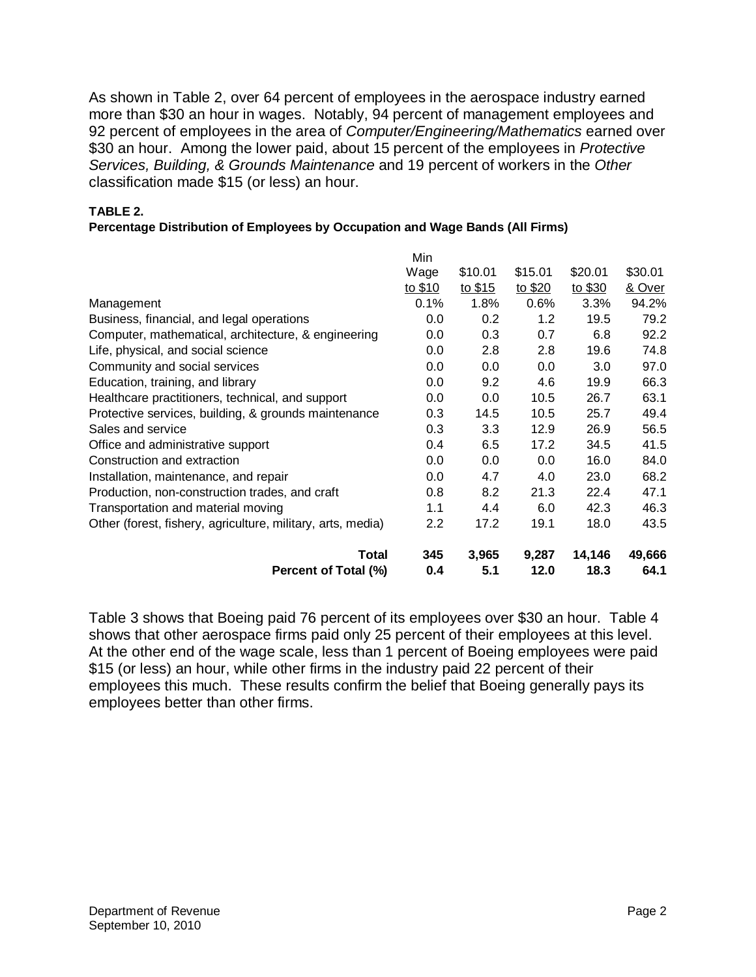As shown in Table 2, over 64 percent of employees in the aerospace industry earned more than \$30 an hour in wages. Notably, 94 percent of management employees and 92 percent of employees in the area of *Computer/Engineering/Mathematics* earned over \$30 an hour. Among the lower paid, about 15 percent of the employees in *Protective Services, Building, & Grounds Maintenance* and 19 percent of workers in the *Other*  classification made \$15 (or less) an hour.

#### **TABLE 2.**

#### **Percentage Distribution of Employees by Occupation and Wage Bands (All Firms)**

|                                                             | Min     |                  |         |         |         |
|-------------------------------------------------------------|---------|------------------|---------|---------|---------|
|                                                             | Wage    | \$10.01          | \$15.01 | \$20.01 | \$30.01 |
|                                                             | to \$10 | to \$15          | to \$20 | to \$30 | & Over  |
| Management                                                  | 0.1%    | 1.8%             | 0.6%    | 3.3%    | 94.2%   |
| Business, financial, and legal operations                   | 0.0     | 0.2              | 1.2     | 19.5    | 79.2    |
| Computer, mathematical, architecture, & engineering         | 0.0     | 0.3              | 0.7     | 6.8     | 92.2    |
| Life, physical, and social science                          | 0.0     | 2.8              | 2.8     | 19.6    | 74.8    |
| Community and social services                               | 0.0     | 0.0              | 0.0     | 3.0     | 97.0    |
| Education, training, and library                            | 0.0     | 9.2              | 4.6     | 19.9    | 66.3    |
| Healthcare practitioners, technical, and support            | 0.0     | 0.0              | 10.5    | 26.7    | 63.1    |
| Protective services, building, & grounds maintenance        | 0.3     | 14.5             | 10.5    | 25.7    | 49.4    |
| Sales and service                                           | 0.3     | 3.3 <sub>2</sub> | 12.9    | 26.9    | 56.5    |
| Office and administrative support                           | 0.4     | 6.5              | 17.2    | 34.5    | 41.5    |
| Construction and extraction                                 | 0.0     | 0.0              | 0.0     | 16.0    | 84.0    |
| Installation, maintenance, and repair                       | 0.0     | 4.7              | 4.0     | 23.0    | 68.2    |
| Production, non-construction trades, and craft              | 0.8     | 8.2              | 21.3    | 22.4    | 47.1    |
| Transportation and material moving                          | 1.1     | 4.4              | 6.0     | 42.3    | 46.3    |
| Other (forest, fishery, agriculture, military, arts, media) | $2.2\,$ | 17.2             | 19.1    | 18.0    | 43.5    |
| <b>Total</b>                                                | 345     | 3,965            | 9,287   | 14,146  | 49,666  |
| Percent of Total (%)                                        | 0.4     | 5.1              | 12.0    | 18.3    | 64.1    |

Table 3 shows that Boeing paid 76 percent of its employees over \$30 an hour. Table 4 shows that other aerospace firms paid only 25 percent of their employees at this level. At the other end of the wage scale, less than 1 percent of Boeing employees were paid \$15 (or less) an hour, while other firms in the industry paid 22 percent of their employees this much. These results confirm the belief that Boeing generally pays its employees better than other firms.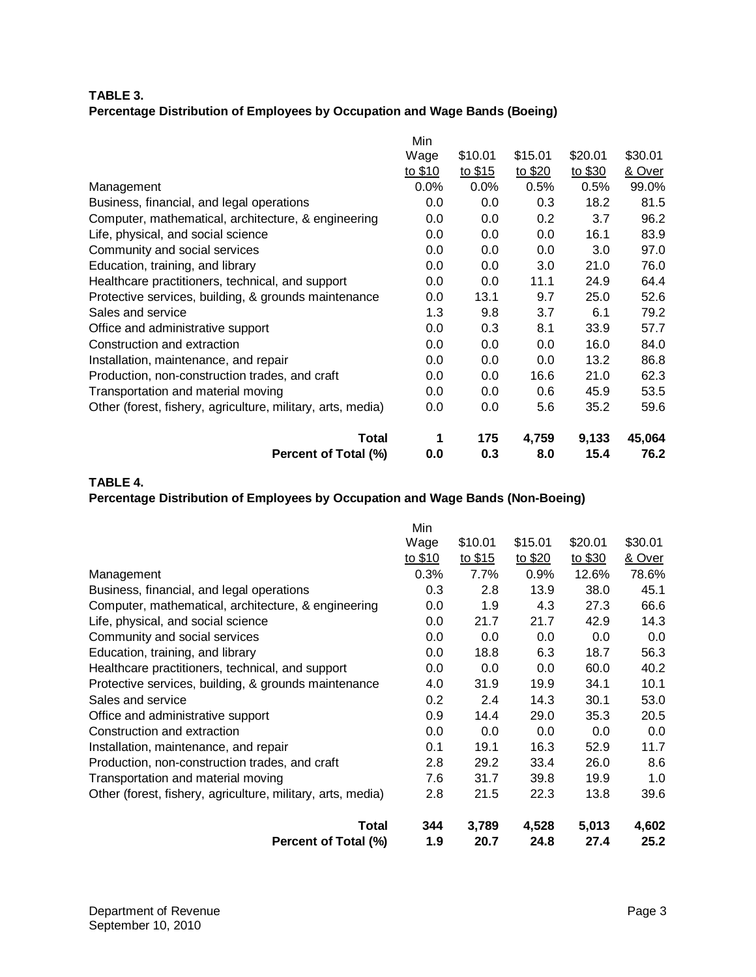#### **TABLE 3. Percentage Distribution of Employees by Occupation and Wage Bands (Boeing)**

|                                                             | Min     |         |                  |         |         |
|-------------------------------------------------------------|---------|---------|------------------|---------|---------|
|                                                             | Wage    | \$10.01 | \$15.01          | \$20.01 | \$30.01 |
|                                                             | to \$10 | to \$15 | to \$20          | to \$30 | & Over  |
| Management                                                  | 0.0%    | 0.0%    | 0.5%             | 0.5%    | 99.0%   |
| Business, financial, and legal operations                   | 0.0     | 0.0     | 0.3              | 18.2    | 81.5    |
| Computer, mathematical, architecture, & engineering         | 0.0     | 0.0     | 0.2 <sub>0</sub> | 3.7     | 96.2    |
| Life, physical, and social science                          | 0.0     | 0.0     | 0.0              | 16.1    | 83.9    |
| Community and social services                               | 0.0     | 0.0     | 0.0              | 3.0     | 97.0    |
| Education, training, and library                            | 0.0     | 0.0     | 3.0              | 21.0    | 76.0    |
| Healthcare practitioners, technical, and support            | 0.0     | 0.0     | 11.1             | 24.9    | 64.4    |
| Protective services, building, & grounds maintenance        | 0.0     | 13.1    | 9.7              | 25.0    | 52.6    |
| Sales and service                                           | 1.3     | 9.8     | 3.7              | 6.1     | 79.2    |
| Office and administrative support                           | 0.0     | 0.3     | 8.1              | 33.9    | 57.7    |
| Construction and extraction                                 | 0.0     | 0.0     | 0.0              | 16.0    | 84.0    |
| Installation, maintenance, and repair                       | 0.0     | 0.0     | 0.0              | 13.2    | 86.8    |
| Production, non-construction trades, and craft              | 0.0     | 0.0     | 16.6             | 21.0    | 62.3    |
| Transportation and material moving                          | 0.0     | 0.0     | 0.6              | 45.9    | 53.5    |
| Other (forest, fishery, agriculture, military, arts, media) | 0.0     | 0.0     | 5.6              | 35.2    | 59.6    |
| <b>Total</b>                                                | 1       | 175     | 4,759            | 9,133   | 45,064  |
| Percent of Total (%)                                        | 0.0     | 0.3     | 8.0              | 15.4    | 76.2    |

#### **TABLE 4.**

## **Percentage Distribution of Employees by Occupation and Wage Bands (Non-Boeing)**

|                                                             | Min     |         |         |         |         |
|-------------------------------------------------------------|---------|---------|---------|---------|---------|
|                                                             | Wage    | \$10.01 | \$15.01 | \$20.01 | \$30.01 |
|                                                             | to \$10 | to \$15 | to \$20 | to \$30 | & Over  |
| Management                                                  | 0.3%    | 7.7%    | 0.9%    | 12.6%   | 78.6%   |
| Business, financial, and legal operations                   | 0.3     | 2.8     | 13.9    | 38.0    | 45.1    |
| Computer, mathematical, architecture, & engineering         | 0.0     | 1.9     | 4.3     | 27.3    | 66.6    |
| Life, physical, and social science                          | 0.0     | 21.7    | 21.7    | 42.9    | 14.3    |
| Community and social services                               | 0.0     | 0.0     | 0.0     | 0.0     | 0.0     |
| Education, training, and library                            | 0.0     | 18.8    | 6.3     | 18.7    | 56.3    |
| Healthcare practitioners, technical, and support            | 0.0     | 0.0     | 0.0     | 60.0    | 40.2    |
| Protective services, building, & grounds maintenance        | 4.0     | 31.9    | 19.9    | 34.1    | 10.1    |
| Sales and service                                           | 0.2     | 2.4     | 14.3    | 30.1    | 53.0    |
| Office and administrative support                           | 0.9     | 14.4    | 29.0    | 35.3    | 20.5    |
| Construction and extraction                                 | 0.0     | 0.0     | 0.0     | 0.0     | 0.0     |
| Installation, maintenance, and repair                       | 0.1     | 19.1    | 16.3    | 52.9    | 11.7    |
| Production, non-construction trades, and craft              | 2.8     | 29.2    | 33.4    | 26.0    | 8.6     |
| Transportation and material moving                          | 7.6     | 31.7    | 39.8    | 19.9    | 1.0     |
| Other (forest, fishery, agriculture, military, arts, media) | 2.8     | 21.5    | 22.3    | 13.8    | 39.6    |
| <b>Total</b>                                                | 344     | 3,789   | 4,528   | 5,013   | 4,602   |
| Percent of Total (%)                                        | 1.9     | 20.7    | 24.8    | 27.4    | 25.2    |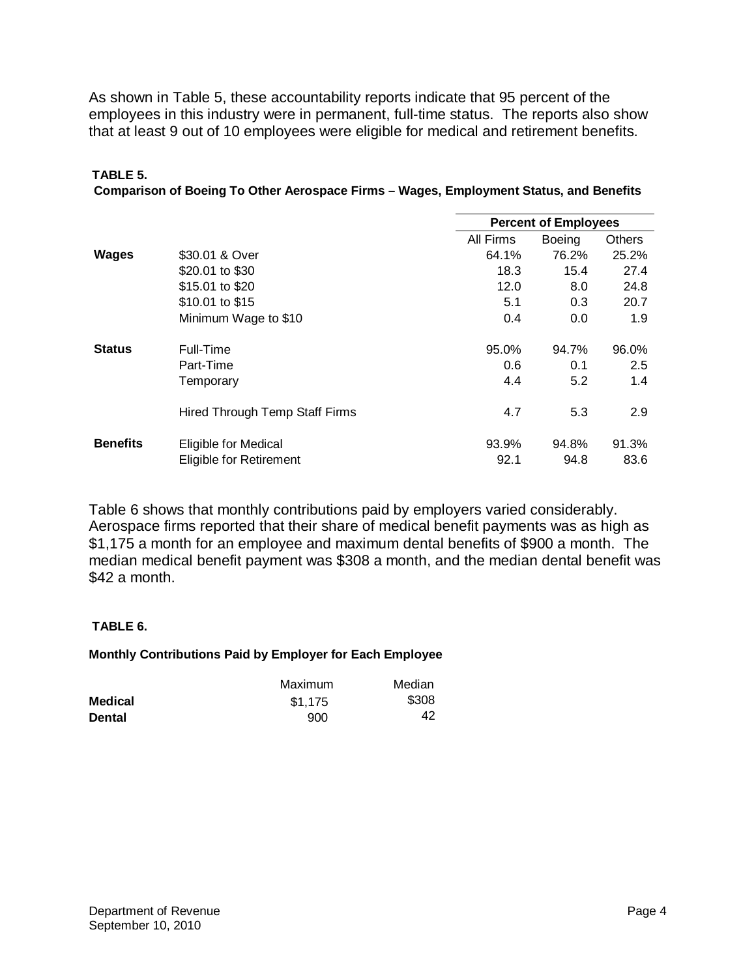As shown in Table 5, these accountability reports indicate that 95 percent of the employees in this industry were in permanent, full-time status. The reports also show that at least 9 out of 10 employees were eligible for medical and retirement benefits.

#### **TABLE 5.**

|  | Comparison of Boeing To Other Aerospace Firms - Wages, Employment Status, and Benefits |  |  |
|--|----------------------------------------------------------------------------------------|--|--|
|  |                                                                                        |  |  |

|                 |                                | <b>Percent of Employees</b> |               |               |
|-----------------|--------------------------------|-----------------------------|---------------|---------------|
|                 |                                | All Firms                   | <b>Boeing</b> | <b>Others</b> |
| <b>Wages</b>    | \$30.01 & Over                 | 64.1%                       | 76.2%         | 25.2%         |
|                 | \$20.01 to \$30                | 18.3                        | 15.4          | 27.4          |
|                 | \$15.01 to \$20                | 12.0                        | 8.0           | 24.8          |
|                 | \$10.01 to \$15                | 5.1                         | 0.3           | 20.7          |
|                 | Minimum Wage to \$10           | 0.4                         | 0.0           | 1.9           |
| <b>Status</b>   | Full-Time                      | 95.0%                       | 94.7%         | 96.0%         |
|                 | Part-Time                      | 0.6                         | 0.1           | 2.5           |
|                 | Temporary                      | 4.4                         | 5.2           | 1.4           |
|                 | Hired Through Temp Staff Firms | 4.7                         | 5.3           | 2.9           |
| <b>Benefits</b> | Eligible for Medical           | 93.9%                       | 94.8%         | 91.3%         |
|                 | Eligible for Retirement        | 92.1                        | 94.8          | 83.6          |

Table 6 shows that monthly contributions paid by employers varied considerably. Aerospace firms reported that their share of medical benefit payments was as high as \$1,175 a month for an employee and maximum dental benefits of \$900 a month. The median medical benefit payment was \$308 a month, and the median dental benefit was \$42 a month.

### **TABLE 6.**

### **Monthly Contributions Paid by Employer for Each Employee**

|                | Maximum | Median |
|----------------|---------|--------|
| <b>Medical</b> | \$1,175 | \$308  |
| <b>Dental</b>  | 900     | 42     |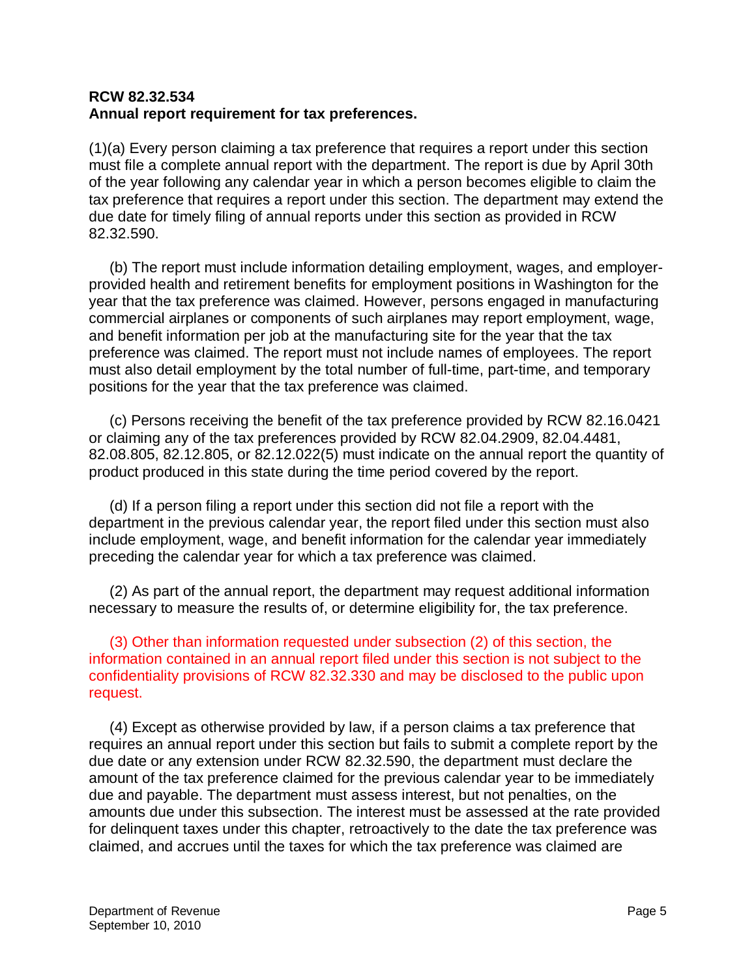# **RCW 82.32.534 Annual report requirement for tax preferences.**

(1)(a) Every person claiming a tax preference that requires a report under this section must file a complete annual report with the department. The report is due by April 30th of the year following any calendar year in which a person becomes eligible to claim the tax preference that requires a report under this section. The department may extend the due date for timely filing of annual reports under this section as provided in RCW 82.32.590.

 (b) The report must include information detailing employment, wages, and employerprovided health and retirement benefits for employment positions in Washington for the year that the tax preference was claimed. However, persons engaged in manufacturing commercial airplanes or components of such airplanes may report employment, wage, and benefit information per job at the manufacturing site for the year that the tax preference was claimed. The report must not include names of employees. The report must also detail employment by the total number of full-time, part-time, and temporary positions for the year that the tax preference was claimed.

 (c) Persons receiving the benefit of the tax preference provided by RCW 82.16.0421 or claiming any of the tax preferences provided by RCW 82.04.2909, 82.04.4481, 82.08.805, 82.12.805, or 82.12.022(5) must indicate on the annual report the quantity of product produced in this state during the time period covered by the report.

 (d) If a person filing a report under this section did not file a report with the department in the previous calendar year, the report filed under this section must also include employment, wage, and benefit information for the calendar year immediately preceding the calendar year for which a tax preference was claimed.

 (2) As part of the annual report, the department may request additional information necessary to measure the results of, or determine eligibility for, the tax preference.

 (3) Other than information requested under subsection (2) of this section, the information contained in an annual report filed under this section is not subject to the confidentiality provisions of RCW 82.32.330 and may be disclosed to the public upon request.

 (4) Except as otherwise provided by law, if a person claims a tax preference that requires an annual report under this section but fails to submit a complete report by the due date or any extension under RCW 82.32.590, the department must declare the amount of the tax preference claimed for the previous calendar year to be immediately due and payable. The department must assess interest, but not penalties, on the amounts due under this subsection. The interest must be assessed at the rate provided for delinquent taxes under this chapter, retroactively to the date the tax preference was claimed, and accrues until the taxes for which the tax preference was claimed are